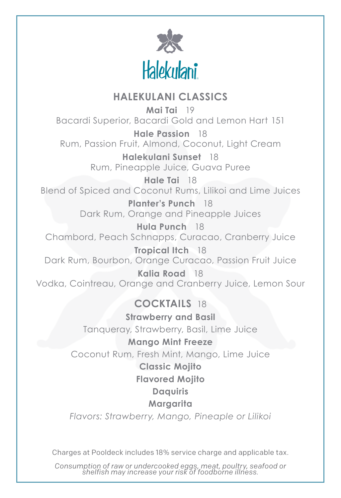

# **HALEKULANI CLASSICS**

**Mai Tai** 19 Bacardi Superior, Bacardi Gold and Lemon Hart 151

**Hale Passion** 18 Rum, Passion Fruit, Almond, Coconut, Light Cream

> **Halekulani Sunset** 18 Rum, Pineapple Juice, Guava Puree

**Hale Tai** 18 Blend of Spiced and Coconut Rums, Lilikoi and Lime Juices

> **Planter's Punch** 18 Dark Rum, Orange and Pineapple Juices

**Hula Punch** 18 Chambord, Peach Schnapps, Curacao, Cranberry Juice

**Tropical Itch** 18 Dark Rum, Bourbon, Orange Curacao, Passion Fruit Juice

**Kalia Road** 18 Vodka, Cointreau, Orange and Cranberry Juice, Lemon Sour

# **COCKTAILS** 18

**Strawberry and Basil** Tanqueray, Strawberry, Basil, Lime Juice

## **Mango Mint Freeze**

Coconut Rum, Fresh Mint, Mango, Lime Juice

## **Classic Mojito**

## **Flavored Mojito**

## **Daquiris**

## **Margarita**

*Flavors: Strawberry, Mango, Pineaple or Lilikoi*

Charges at Pooldeck includes 18% service charge and applicable tax.

*Consumption of raw or undercooked eggs, meat, poultry, seafood or shelfish may increase your risk of foodborne illness.*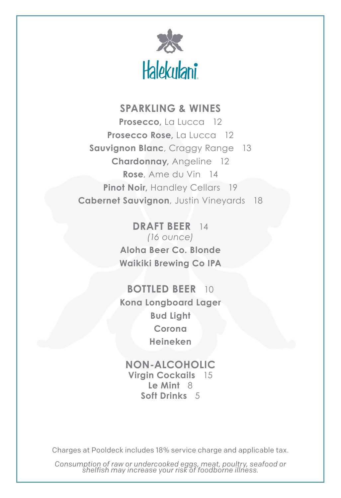

# **SPARKLING & WINES**

**Prosecco,** La Lucca 12 **Prosecco Rose,** La Lucca 12 **Sauvignon Blanc**, Craggy Range 13 **Chardonnay,** Angeline 12 **Rose**, Ame du Vin 14 **Pinot Noir, Handley Cellars 19 Cabernet Sauvignon**, Justin Vineyards 18

> **DRAFT BEER** 14 *(16 ounce)* **Aloha Beer Co. Blonde Waikiki Brewing Co IPA**

> **BOTTLED BEER** 10 **Kona Longboard Lager Bud Light Corona Heineken**

**NON-ALCOHOLIC Virgin Cockails** 15 **Le Mint** 8 **Soft Drinks** 5

Charges at Pooldeck includes 18% service charge and applicable tax.

*Consumption of raw or undercooked eggs, meat, poultry, seafood or shelfish may increase your risk of foodborne illness.*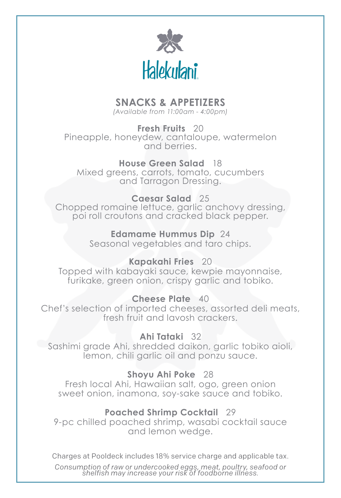

# **SNACKS & APPETIZERS**

*(Available from 11:00am - 4:00pm)*

**Fresh Fruits** 20 Pineapple, honeydew, cantaloupe, watermelon and berries.

**House Green Salad** 18 Mixed greens, carrots, tomato, cucumbers and Tarragon Dressing.

#### **Caesar Salad** 25

Chopped romaine lettuce, garlic anchovy dressing, poi roll croutons and cracked black pepper.

#### **Edamame Hummus Dip** 24

Seasonal vegetables and taro chips.

#### **Kapakahi Fries** 20

Topped with kabayaki sauce, kewpie mayonnaise, furikake, green onion, crispy garlic and tobiko.

#### **Cheese Plate** 40

Chef's selection of imported cheeses, assorted deli meats, fresh fruit and lavosh crackers.

#### **Ahi Tataki** 32

Sashimi grade Ahi, shredded daikon, garlic tobiko aioli, lemon, chili garlic oil and ponzu sauce.

## **Shoyu Ahi Poke** 28

Fresh local Ahi, Hawaiian salt, ogo, green onion sweet onion, inamona, soy-sake sauce and tobiko.

## **Poached Shrimp Cocktail** 29

9-pc chilled poached shrimp, wasabi cocktail sauce and lemon wedge.

Charges at Pooldeck includes 18% service charge and applicable tax.

*Consumption of raw or undercooked eggs, meat, poultry, seafood or shelfish may increase your risk of foodborne illness.*